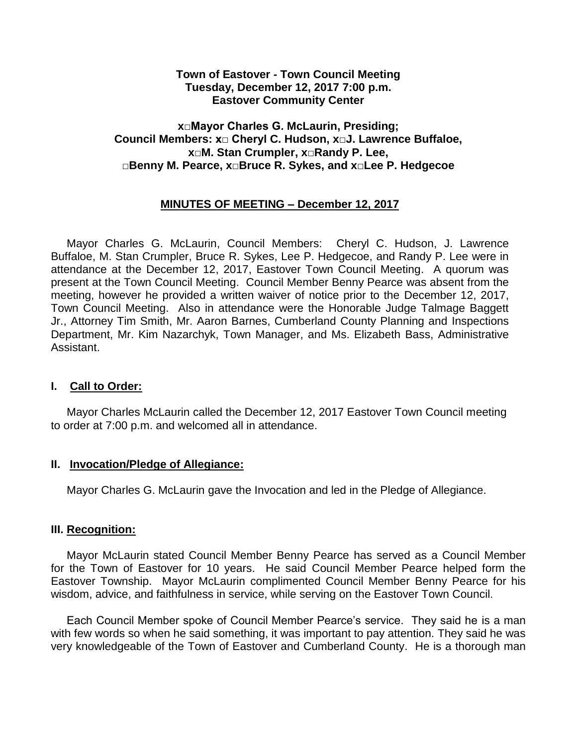#### **Town of Eastover - Town Council Meeting Tuesday, December 12, 2017 7:00 p.m. Eastover Community Center**

### **x□Mayor Charles G. McLaurin, Presiding; Council Members: x□ Cheryl C. Hudson, x□J. Lawrence Buffaloe, x□M. Stan Crumpler, x□Randy P. Lee, □Benny M. Pearce, x□Bruce R. Sykes, and x□Lee P. Hedgecoe**

## **MINUTES OF MEETING – December 12, 2017**

 Mayor Charles G. McLaurin, Council Members: Cheryl C. Hudson, J. Lawrence Buffaloe, M. Stan Crumpler, Bruce R. Sykes, Lee P. Hedgecoe, and Randy P. Lee were in attendance at the December 12, 2017, Eastover Town Council Meeting. A quorum was present at the Town Council Meeting. Council Member Benny Pearce was absent from the meeting, however he provided a written waiver of notice prior to the December 12, 2017, Town Council Meeting. Also in attendance were the Honorable Judge Talmage Baggett Jr., Attorney Tim Smith, Mr. Aaron Barnes, Cumberland County Planning and Inspections Department, Mr. Kim Nazarchyk, Town Manager, and Ms. Elizabeth Bass, Administrative Assistant.

#### **I. Call to Order:**

 Mayor Charles McLaurin called the December 12, 2017 Eastover Town Council meeting to order at 7:00 p.m. and welcomed all in attendance.

#### **II. Invocation/Pledge of Allegiance:**

Mayor Charles G. McLaurin gave the Invocation and led in the Pledge of Allegiance.

#### **III. Recognition:**

Mayor McLaurin stated Council Member Benny Pearce has served as a Council Member for the Town of Eastover for 10 years. He said Council Member Pearce helped form the Eastover Township. Mayor McLaurin complimented Council Member Benny Pearce for his wisdom, advice, and faithfulness in service, while serving on the Eastover Town Council.

Each Council Member spoke of Council Member Pearce's service. They said he is a man with few words so when he said something, it was important to pay attention. They said he was very knowledgeable of the Town of Eastover and Cumberland County. He is a thorough man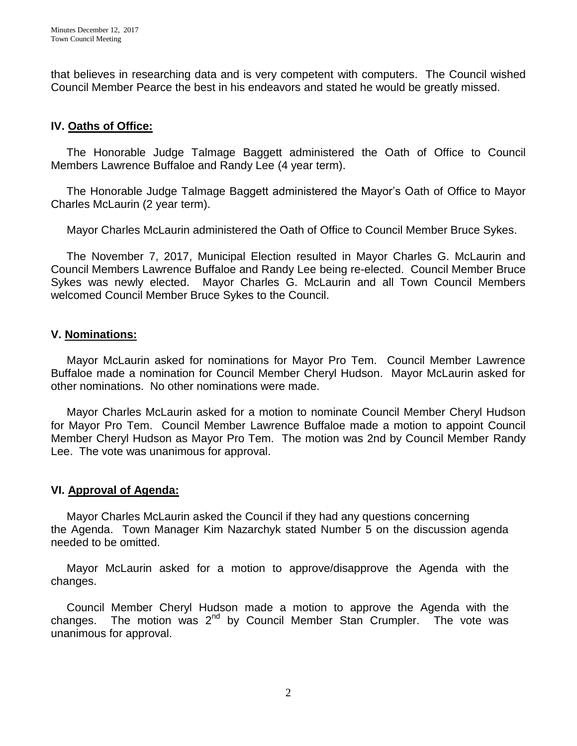that believes in researching data and is very competent with computers. The Council wished Council Member Pearce the best in his endeavors and stated he would be greatly missed.

## **IV. Oaths of Office:**

The Honorable Judge Talmage Baggett administered the Oath of Office to Council Members Lawrence Buffaloe and Randy Lee (4 year term).

 The Honorable Judge Talmage Baggett administered the Mayor's Oath of Office to Mayor Charles McLaurin (2 year term).

Mayor Charles McLaurin administered the Oath of Office to Council Member Bruce Sykes.

 The November 7, 2017, Municipal Election resulted in Mayor Charles G. McLaurin and Council Members Lawrence Buffaloe and Randy Lee being re-elected. Council Member Bruce Sykes was newly elected. Mayor Charles G. McLaurin and all Town Council Members welcomed Council Member Bruce Sykes to the Council.

#### **V. Nominations:**

Mayor McLaurin asked for nominations for Mayor Pro Tem. Council Member Lawrence Buffaloe made a nomination for Council Member Cheryl Hudson. Mayor McLaurin asked for other nominations. No other nominations were made.

 Mayor Charles McLaurin asked for a motion to nominate Council Member Cheryl Hudson for Mayor Pro Tem. Council Member Lawrence Buffaloe made a motion to appoint Council Member Cheryl Hudson as Mayor Pro Tem. The motion was 2nd by Council Member Randy Lee. The vote was unanimous for approval.

#### **VI. Approval of Agenda:**

 Mayor Charles McLaurin asked the Council if they had any questions concerning the Agenda. Town Manager Kim Nazarchyk stated Number 5 on the discussion agenda needed to be omitted.

 Mayor McLaurin asked for a motion to approve/disapprove the Agenda with the changes.

 Council Member Cheryl Hudson made a motion to approve the Agenda with the changes. The motion was  $2^{nd}$  by Council Member Stan Crumpler. The vote was unanimous for approval.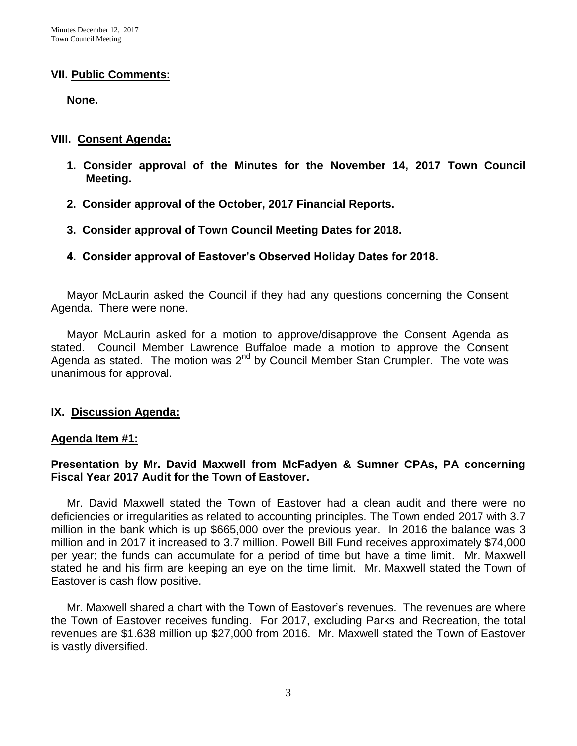#### **VII. Public Comments:**

 **None.**

#### **VIII. Consent Agenda:**

- **1. Consider approval of the Minutes for the November 14, 2017 Town Council Meeting.**
- **2. Consider approval of the October, 2017 Financial Reports.**
- **3. Consider approval of Town Council Meeting Dates for 2018.**
- **4. Consider approval of Eastover's Observed Holiday Dates for 2018.**

 Mayor McLaurin asked the Council if they had any questions concerning the Consent Agenda. There were none.

 Mayor McLaurin asked for a motion to approve/disapprove the Consent Agenda as stated. Council Member Lawrence Buffaloe made a motion to approve the Consent Agenda as stated. The motion was  $2^{nd}$  by Council Member Stan Crumpler. The vote was unanimous for approval.

### **IX. Discussion Agenda:**

### **Agenda Item #1:**

## **Presentation by Mr. David Maxwell from McFadyen & Sumner CPAs, PA concerning Fiscal Year 2017 Audit for the Town of Eastover.**

Mr. David Maxwell stated the Town of Eastover had a clean audit and there were no deficiencies or irregularities as related to accounting principles. The Town ended 2017 with 3.7 million in the bank which is up \$665,000 over the previous year. In 2016 the balance was 3 million and in 2017 it increased to 3.7 million. Powell Bill Fund receives approximately \$74,000 per year; the funds can accumulate for a period of time but have a time limit. Mr. Maxwell stated he and his firm are keeping an eye on the time limit. Mr. Maxwell stated the Town of Eastover is cash flow positive.

 Mr. Maxwell shared a chart with the Town of Eastover's revenues. The revenues are where the Town of Eastover receives funding. For 2017, excluding Parks and Recreation, the total revenues are \$1.638 million up \$27,000 from 2016. Mr. Maxwell stated the Town of Eastover is vastly diversified.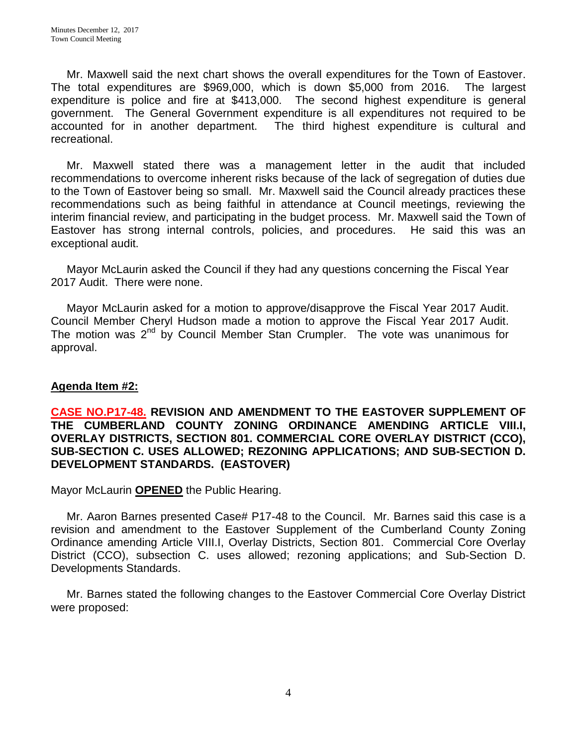Mr. Maxwell said the next chart shows the overall expenditures for the Town of Eastover. The total expenditures are \$969,000, which is down \$5,000 from 2016. The largest expenditure is police and fire at \$413,000. The second highest expenditure is general government. The General Government expenditure is all expenditures not required to be accounted for in another department. The third highest expenditure is cultural and recreational.

 Mr. Maxwell stated there was a management letter in the audit that included recommendations to overcome inherent risks because of the lack of segregation of duties due to the Town of Eastover being so small. Mr. Maxwell said the Council already practices these recommendations such as being faithful in attendance at Council meetings, reviewing the interim financial review, and participating in the budget process. Mr. Maxwell said the Town of Eastover has strong internal controls, policies, and procedures. He said this was an exceptional audit.

 Mayor McLaurin asked the Council if they had any questions concerning the Fiscal Year 2017 Audit. There were none.

 Mayor McLaurin asked for a motion to approve/disapprove the Fiscal Year 2017 Audit. Council Member Cheryl Hudson made a motion to approve the Fiscal Year 2017 Audit. The motion was  $2^{nd}$  by Council Member Stan Crumpler. The vote was unanimous for approval.

# **Agenda Item #2:**

### **CASE NO.P17-48. REVISION AND AMENDMENT TO THE EASTOVER SUPPLEMENT OF THE CUMBERLAND COUNTY ZONING ORDINANCE AMENDING ARTICLE VIII.I, OVERLAY DISTRICTS, SECTION 801. COMMERCIAL CORE OVERLAY DISTRICT (CCO), SUB-SECTION C. USES ALLOWED; REZONING APPLICATIONS; AND SUB-SECTION D. DEVELOPMENT STANDARDS. (EASTOVER)**

Mayor McLaurin **OPENED** the Public Hearing.

 Mr. Aaron Barnes presented Case# P17-48 to the Council. Mr. Barnes said this case is a revision and amendment to the Eastover Supplement of the Cumberland County Zoning Ordinance amending Article VIII.I, Overlay Districts, Section 801. Commercial Core Overlay District (CCO), subsection C. uses allowed; rezoning applications; and Sub-Section D. Developments Standards.

 Mr. Barnes stated the following changes to the Eastover Commercial Core Overlay District were proposed: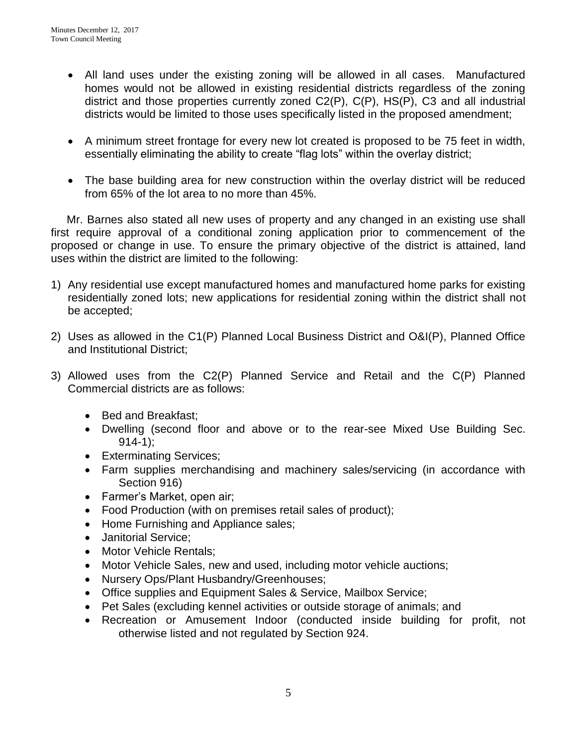- All land uses under the existing zoning will be allowed in all cases. Manufactured homes would not be allowed in existing residential districts regardless of the zoning district and those properties currently zoned C2(P), C(P), HS(P), C3 and all industrial districts would be limited to those uses specifically listed in the proposed amendment;
- A minimum street frontage for every new lot created is proposed to be 75 feet in width, essentially eliminating the ability to create "flag lots" within the overlay district;
- The base building area for new construction within the overlay district will be reduced from 65% of the lot area to no more than 45%.

 Mr. Barnes also stated all new uses of property and any changed in an existing use shall first require approval of a conditional zoning application prior to commencement of the proposed or change in use. To ensure the primary objective of the district is attained, land uses within the district are limited to the following:

- 1) Any residential use except manufactured homes and manufactured home parks for existing residentially zoned lots; new applications for residential zoning within the district shall not be accepted;
- 2) Uses as allowed in the C1(P) Planned Local Business District and O&I(P), Planned Office and Institutional District;
- 3) Allowed uses from the C2(P) Planned Service and Retail and the C(P) Planned Commercial districts are as follows:
	- Bed and Breakfast;
	- Dwelling (second floor and above or to the rear-see Mixed Use Building Sec.  $914-1$ ):
	- **Exterminating Services;**
	- Farm supplies merchandising and machinery sales/servicing (in accordance with Section 916)
	- Farmer's Market, open air;
	- Food Production (with on premises retail sales of product);
	- Home Furnishing and Appliance sales;
	- Janitorial Service;
	- Motor Vehicle Rentals:
	- Motor Vehicle Sales, new and used, including motor vehicle auctions;
	- Nursery Ops/Plant Husbandry/Greenhouses;
	- Office supplies and Equipment Sales & Service, Mailbox Service;
	- Pet Sales (excluding kennel activities or outside storage of animals; and
	- Recreation or Amusement Indoor (conducted inside building for profit, not otherwise listed and not regulated by Section 924.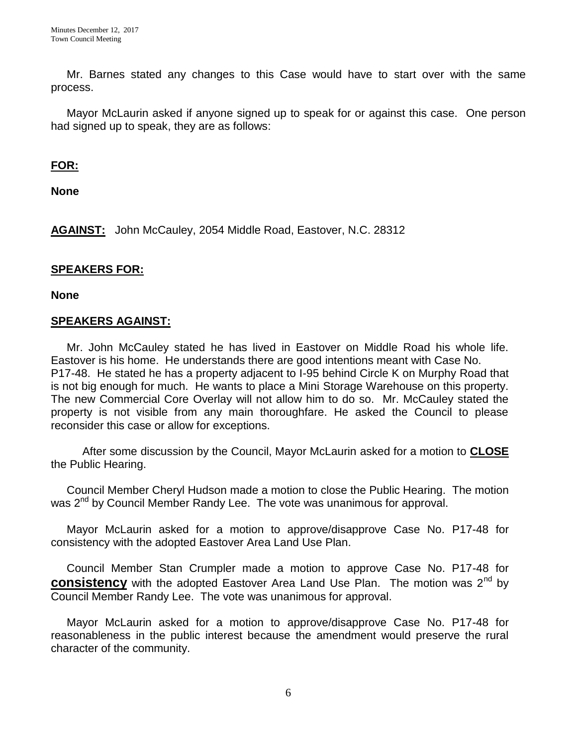Mr. Barnes stated any changes to this Case would have to start over with the same process.

 Mayor McLaurin asked if anyone signed up to speak for or against this case. One person had signed up to speak, they are as follows:

### **FOR:**

**None**

**AGAINST:** John McCauley, 2054 Middle Road, Eastover, N.C. 28312

### **SPEAKERS FOR:**

**None**

### **SPEAKERS AGAINST:**

Mr. John McCauley stated he has lived in Eastover on Middle Road his whole life. Eastover is his home. He understands there are good intentions meant with Case No. P17-48. He stated he has a property adjacent to I-95 behind Circle K on Murphy Road that is not big enough for much. He wants to place a Mini Storage Warehouse on this property. The new Commercial Core Overlay will not allow him to do so. Mr. McCauley stated the property is not visible from any main thoroughfare. He asked the Council to please reconsider this case or allow for exceptions.

 After some discussion by the Council, Mayor McLaurin asked for a motion to **CLOSE** the Public Hearing.

 Council Member Cheryl Hudson made a motion to close the Public Hearing. The motion was 2<sup>nd</sup> by Council Member Randy Lee. The vote was unanimous for approval.

 Mayor McLaurin asked for a motion to approve/disapprove Case No. P17-48 for consistency with the adopted Eastover Area Land Use Plan.

 Council Member Stan Crumpler made a motion to approve Case No. P17-48 for **consistency** with the adopted Eastover Area Land Use Plan. The motion was 2<sup>nd</sup> by Council Member Randy Lee. The vote was unanimous for approval.

 Mayor McLaurin asked for a motion to approve/disapprove Case No. P17-48 for reasonableness in the public interest because the amendment would preserve the rural character of the community.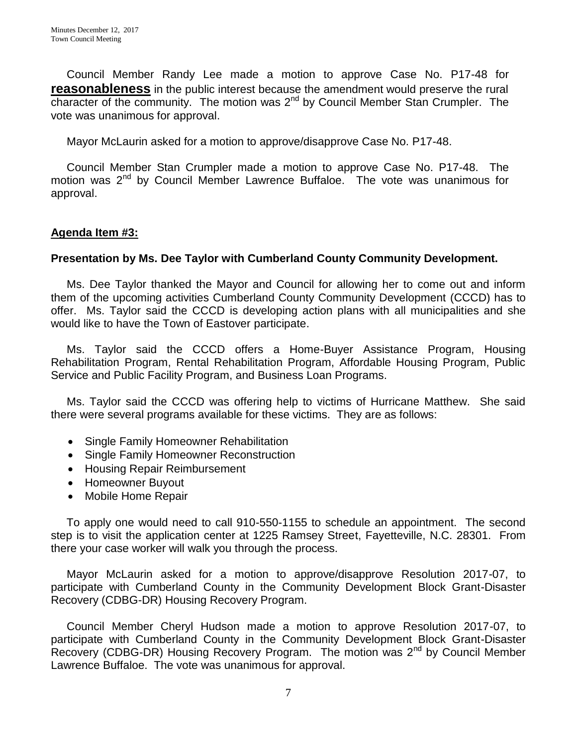Council Member Randy Lee made a motion to approve Case No. P17-48 for **reasonableness** in the public interest because the amendment would preserve the rural character of the community. The motion was 2<sup>nd</sup> by Council Member Stan Crumpler. The vote was unanimous for approval.

Mayor McLaurin asked for a motion to approve/disapprove Case No. P17-48.

 Council Member Stan Crumpler made a motion to approve Case No. P17-48. The motion was  $2^{nd}$  by Council Member Lawrence Buffaloe. The vote was unanimous for approval.

### **Agenda Item #3:**

### **Presentation by Ms. Dee Taylor with Cumberland County Community Development.**

 Ms. Dee Taylor thanked the Mayor and Council for allowing her to come out and inform them of the upcoming activities Cumberland County Community Development (CCCD) has to offer. Ms. Taylor said the CCCD is developing action plans with all municipalities and she would like to have the Town of Eastover participate.

 Ms. Taylor said the CCCD offers a Home-Buyer Assistance Program, Housing Rehabilitation Program, Rental Rehabilitation Program, Affordable Housing Program, Public Service and Public Facility Program, and Business Loan Programs.

 Ms. Taylor said the CCCD was offering help to victims of Hurricane Matthew. She said there were several programs available for these victims. They are as follows:

- Single Family Homeowner Rehabilitation
- Single Family Homeowner Reconstruction
- Housing Repair Reimbursement
- Homeowner Buyout
- Mobile Home Repair

 To apply one would need to call 910-550-1155 to schedule an appointment. The second step is to visit the application center at 1225 Ramsey Street, Fayetteville, N.C. 28301. From there your case worker will walk you through the process.

 Mayor McLaurin asked for a motion to approve/disapprove Resolution 2017-07, to participate with Cumberland County in the Community Development Block Grant-Disaster Recovery (CDBG-DR) Housing Recovery Program.

 Council Member Cheryl Hudson made a motion to approve Resolution 2017-07, to participate with Cumberland County in the Community Development Block Grant-Disaster Recovery (CDBG-DR) Housing Recovery Program. The motion was 2<sup>nd</sup> by Council Member Lawrence Buffaloe. The vote was unanimous for approval.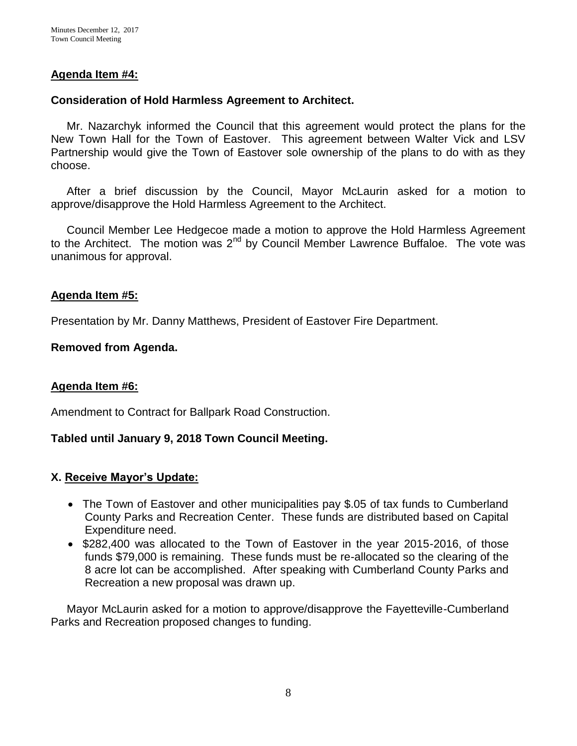### **Agenda Item #4:**

#### **Consideration of Hold Harmless Agreement to Architect.**

Mr. Nazarchyk informed the Council that this agreement would protect the plans for the New Town Hall for the Town of Eastover. This agreement between Walter Vick and LSV Partnership would give the Town of Eastover sole ownership of the plans to do with as they choose.

 After a brief discussion by the Council, Mayor McLaurin asked for a motion to approve/disapprove the Hold Harmless Agreement to the Architect.

 Council Member Lee Hedgecoe made a motion to approve the Hold Harmless Agreement to the Architect. The motion was  $2^{nd}$  by Council Member Lawrence Buffaloe. The vote was unanimous for approval.

#### **Agenda Item #5:**

Presentation by Mr. Danny Matthews, President of Eastover Fire Department.

#### **Removed from Agenda.**

#### **Agenda Item #6:**

Amendment to Contract for Ballpark Road Construction.

### **Tabled until January 9, 2018 Town Council Meeting.**

#### **X. Receive Mayor's Update:**

- The Town of Eastover and other municipalities pay \$.05 of tax funds to Cumberland County Parks and Recreation Center. These funds are distributed based on Capital Expenditure need.
- \$282,400 was allocated to the Town of Eastover in the year 2015-2016, of those funds \$79,000 is remaining. These funds must be re-allocated so the clearing of the 8 acre lot can be accomplished. After speaking with Cumberland County Parks and Recreation a new proposal was drawn up.

 Mayor McLaurin asked for a motion to approve/disapprove the Fayetteville-Cumberland Parks and Recreation proposed changes to funding.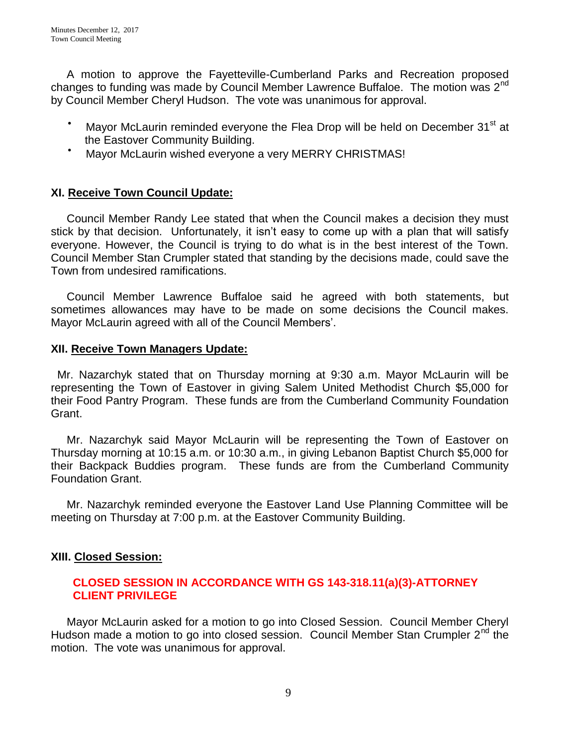A motion to approve the Fayetteville-Cumberland Parks and Recreation proposed changes to funding was made by Council Member Lawrence Buffaloe. The motion was 2<sup>nd</sup> by Council Member Cheryl Hudson. The vote was unanimous for approval.

- $\bullet$ Mayor McLaurin reminded everyone the Flea Drop will be held on December 31<sup>st</sup> at the Eastover Community Building.
- $\bullet$ Mayor McLaurin wished everyone a very MERRY CHRISTMAS!

## **XI. Receive Town Council Update:**

 Council Member Randy Lee stated that when the Council makes a decision they must stick by that decision. Unfortunately, it isn't easy to come up with a plan that will satisfy everyone. However, the Council is trying to do what is in the best interest of the Town. Council Member Stan Crumpler stated that standing by the decisions made, could save the Town from undesired ramifications.

 Council Member Lawrence Buffaloe said he agreed with both statements, but sometimes allowances may have to be made on some decisions the Council makes. Mayor McLaurin agreed with all of the Council Members'.

#### **XII. Receive Town Managers Update:**

 Mr. Nazarchyk stated that on Thursday morning at 9:30 a.m. Mayor McLaurin will be representing the Town of Eastover in giving Salem United Methodist Church \$5,000 for their Food Pantry Program. These funds are from the Cumberland Community Foundation Grant.

 Mr. Nazarchyk said Mayor McLaurin will be representing the Town of Eastover on Thursday morning at 10:15 a.m. or 10:30 a.m., in giving Lebanon Baptist Church \$5,000 for their Backpack Buddies program. These funds are from the Cumberland Community Foundation Grant.

 Mr. Nazarchyk reminded everyone the Eastover Land Use Planning Committee will be meeting on Thursday at 7:00 p.m. at the Eastover Community Building.

### **XIII. Closed Session:**

### **CLOSED SESSION IN ACCORDANCE WITH GS 143-318.11(a)(3)-ATTORNEY CLIENT PRIVILEGE**

Mayor McLaurin asked for a motion to go into Closed Session. Council Member Cheryl Hudson made a motion to go into closed session. Council Member Stan Crumpler  $2<sup>nd</sup>$  the motion. The vote was unanimous for approval.